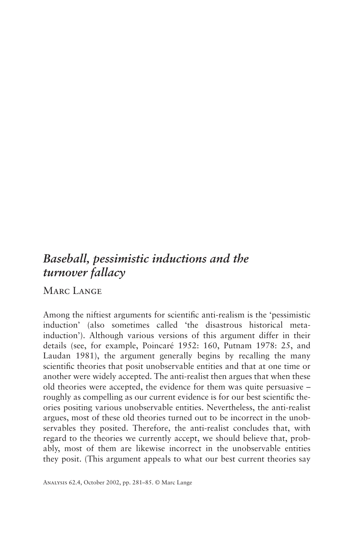## *Baseball, pessimistic inductions and the turnover fallacy*

MARC LANGE

Among the niftiest arguments for scientific anti-realism is the 'pessimistic induction' (also sometimes called 'the disastrous historical metainduction'). Although various versions of this argument differ in their details (see, for example, Poincaré 1952: 160, Putnam 1978: 25, and Laudan 1981), the argument generally begins by recalling the many scientific theories that posit unobservable entities and that at one time or another were widely accepted. The anti-realist then argues that when these old theories were accepted, the evidence for them was quite persuasive – roughly as compelling as our current evidence is for our best scientific theories positing various unobservable entities. Nevertheless, the anti-realist argues, most of these old theories turned out to be incorrect in the unobservables they posited. Therefore, the anti-realist concludes that, with regard to the theories we currently accept, we should believe that, probably, most of them are likewise incorrect in the unobservable entities they posit. (This argument appeals to what our best current theories say

Analysis 62.4, October 2002, pp. 281–85. © Marc Lange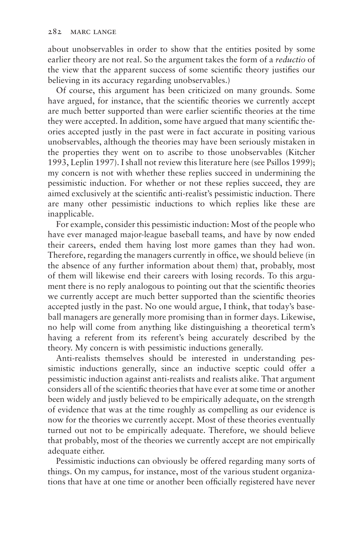about unobservables in order to show that the entities posited by some earlier theory are not real. So the argument takes the form of a *reductio* of the view that the apparent success of some scientific theory justifies our believing in its accuracy regarding unobservables.)

Of course, this argument has been criticized on many grounds. Some have argued, for instance, that the scientific theories we currently accept are much better supported than were earlier scientific theories at the time they were accepted. In addition, some have argued that many scientific theories accepted justly in the past were in fact accurate in positing various unobservables, although the theories may have been seriously mistaken in the properties they went on to ascribe to those unobservables (Kitcher 1993, Leplin 1997). I shall not review this literature here (see Psillos 1999); my concern is not with whether these replies succeed in undermining the pessimistic induction. For whether or not these replies succeed, they are aimed exclusively at the scientific anti-realist's pessimistic induction. There are many other pessimistic inductions to which replies like these are inapplicable.

For example, consider this pessimistic induction: Most of the people who have ever managed major-league baseball teams, and have by now ended their careers, ended them having lost more games than they had won. Therefore, regarding the managers currently in office, we should believe (in the absence of any further information about them) that, probably, most of them will likewise end their careers with losing records. To this argument there is no reply analogous to pointing out that the scientific theories we currently accept are much better supported than the scientific theories accepted justly in the past. No one would argue, I think, that today's baseball managers are generally more promising than in former days. Likewise, no help will come from anything like distinguishing a theoretical term's having a referent from its referent's being accurately described by the theory. My concern is with pessimistic inductions generally.

Anti-realists themselves should be interested in understanding pessimistic inductions generally, since an inductive sceptic could offer a pessimistic induction against anti-realists and realists alike. That argument considers all of the scientific theories that have ever at some time or another been widely and justly believed to be empirically adequate, on the strength of evidence that was at the time roughly as compelling as our evidence is now for the theories we currently accept. Most of these theories eventually turned out not to be empirically adequate. Therefore, we should believe that probably, most of the theories we currently accept are not empirically adequate either.

Pessimistic inductions can obviously be offered regarding many sorts of things. On my campus, for instance, most of the various student organizations that have at one time or another been officially registered have never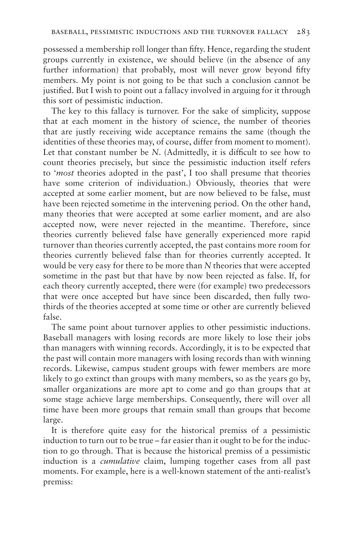possessed a membership roll longer than fifty. Hence, regarding the student groups currently in existence, we should believe (in the absence of any further information) that probably, most will never grow beyond fifty members. My point is not going to be that such a conclusion cannot be justified. But I wish to point out a fallacy involved in arguing for it through this sort of pessimistic induction.

The key to this fallacy is turnover. For the sake of simplicity, suppose that at each moment in the history of science, the number of theories that are justly receiving wide acceptance remains the same (though the identities of these theories may, of course, differ from moment to moment). Let that constant number be *N*. (Admittedly, it is difficult to see how to count theories precisely, but since the pessimistic induction itself refers to '*most* theories adopted in the past', I too shall presume that theories have some criterion of individuation.) Obviously, theories that were accepted at some earlier moment, but are now believed to be false, must have been rejected sometime in the intervening period. On the other hand, many theories that were accepted at some earlier moment, and are also accepted now, were never rejected in the meantime. Therefore, since theories currently believed false have generally experienced more rapid turnover than theories currently accepted, the past contains more room for theories currently believed false than for theories currently accepted. It would be very easy for there to be more than *N* theories that were accepted sometime in the past but that have by now been rejected as false. If, for each theory currently accepted, there were (for example) two predecessors that were once accepted but have since been discarded, then fully twothirds of the theories accepted at some time or other are currently believed false.

The same point about turnover applies to other pessimistic inductions. Baseball managers with losing records are more likely to lose their jobs than managers with winning records. Accordingly, it is to be expected that the past will contain more managers with losing records than with winning records. Likewise, campus student groups with fewer members are more likely to go extinct than groups with many members, so as the years go by, smaller organizations are more apt to come and go than groups that at some stage achieve large memberships. Consequently, there will over all time have been more groups that remain small than groups that become large.

It is therefore quite easy for the historical premiss of a pessimistic induction to turn out to be true – far easier than it ought to be for the induction to go through. That is because the historical premiss of a pessimistic induction is a *cumulative* claim, lumping together cases from all past moments. For example, here is a well-known statement of the anti-realist's premiss: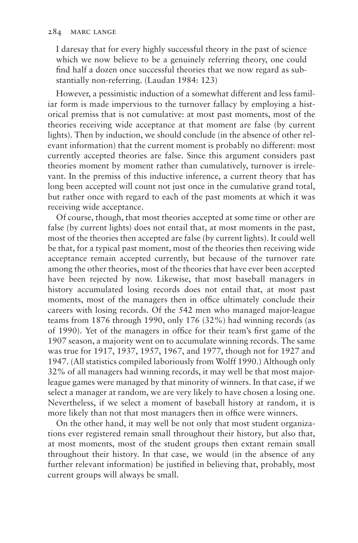I daresay that for every highly successful theory in the past of science which we now believe to be a genuinely referring theory, one could find half a dozen once successful theories that we now regard as substantially non-referring. (Laudan 1984: 123)

However, a pessimistic induction of a somewhat different and less familiar form is made impervious to the turnover fallacy by employing a historical premiss that is not cumulative: at most past moments, most of the theories receiving wide acceptance at that moment are false (by current lights). Then by induction, we should conclude (in the absence of other relevant information) that the current moment is probably no different: most currently accepted theories are false. Since this argument considers past theories moment by moment rather than cumulatively, turnover is irrelevant. In the premiss of this inductive inference, a current theory that has long been accepted will count not just once in the cumulative grand total, but rather once with regard to each of the past moments at which it was receiving wide acceptance.

Of course, though, that most theories accepted at some time or other are false (by current lights) does not entail that, at most moments in the past, most of the theories then accepted are false (by current lights). It could well be that, for a typical past moment, most of the theories then receiving wide acceptance remain accepted currently, but because of the turnover rate among the other theories, most of the theories that have ever been accepted have been rejected by now. Likewise, that most baseball managers in history accumulated losing records does not entail that, at most past moments, most of the managers then in office ultimately conclude their careers with losing records. Of the 542 men who managed major-league teams from 1876 through 1990, only 176 (32%) had winning records (as of 1990). Yet of the managers in office for their team's first game of the 1907 season, a majority went on to accumulate winning records. The same was true for 1917, 1937, 1957, 1967, and 1977, though not for 1927 and 1947. (All statistics compiled laboriously from Wolff 1990.) Although only 32% of all managers had winning records, it may well be that most majorleague games were managed by that minority of winners. In that case, if we select a manager at random, we are very likely to have chosen a losing one. Nevertheless, if we select a moment of baseball history at random, it is more likely than not that most managers then in office were winners.

On the other hand, it may well be not only that most student organizations ever registered remain small throughout their history, but also that, at most moments, most of the student groups then extant remain small throughout their history. In that case, we would (in the absence of any further relevant information) be justified in believing that, probably, most current groups will always be small.